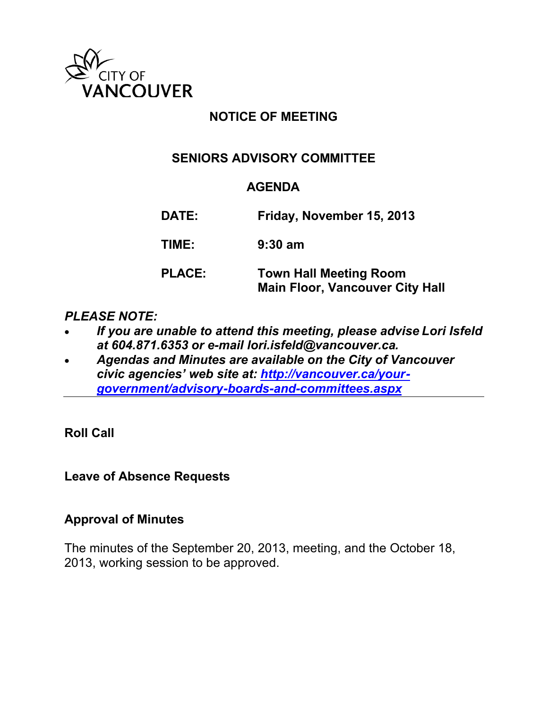

## **NOTICE OF MEETING**

## **SENIORS ADVISORY COMMITTEE**

#### **AGENDA**

**DATE: Friday, November 15, 2013 TIME: 9:30 am**

### **PLACE: Town Hall Meeting Room Main Floor, Vancouver City Hall**

### *PLEASE NOTE:*

- *If you are unable to attend this meeting, please advise Lori Isfeld at 604.871.6353 or e-mail lori.isfeld@vancouver.ca.*
- *Agendas and Minutes are available on the City of Vancouver civic agencies' web site at: [http://vancouver.ca/your](http://vancouver.ca/your-government/advisory-boards-and-committees.aspx)[government/advisory-boards-and-committees.aspx](http://vancouver.ca/your-government/advisory-boards-and-committees.aspx)*

**Roll Call**

**Leave of Absence Requests**

### **Approval of Minutes**

The minutes of the September 20, 2013, meeting, and the October 18, 2013, working session to be approved.